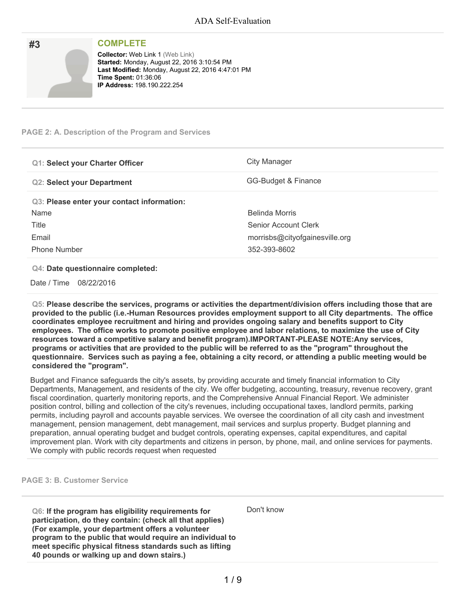| #3 | <b>COMPLETE</b>                                                                                                                                                                                                  |
|----|------------------------------------------------------------------------------------------------------------------------------------------------------------------------------------------------------------------|
|    | <b>Collector: Web Link 1 (Web Link)</b><br>Started: Monday, August 22, 2016 3:10:54 PM<br>Last Modified: Monday, August 22, 2016 4:47:01 PM<br><b>Time Spent: 01:36:06</b><br><b>IP Address: 198.190.222.254</b> |

### **PAGE 2: A. Description of the Program and Services**

| <b>Q1: Select your Charter Officer</b>     | City Manager                   |
|--------------------------------------------|--------------------------------|
| <b>Q2: Select your Department</b>          | GG-Budget & Finance            |
| Q3: Please enter your contact information: |                                |
| Name                                       | Belinda Morris                 |
| Title                                      | Senior Account Clerk           |
| Email                                      | morrisbs@cityofgainesville.org |
| Phone Number                               | 352-393-8602                   |

#### **Q4: Date questionnaire completed:**

Date / Time 08/22/2016

**Q5: Please describe the services, programs or activities the department/division offers including those that are provided to the public (i.e.-Human Resources provides employment support to all City departments. The office coordinates employee recruitment and hiring and provides ongoing salary and benefits support to City employees. The office works to promote positive employee and labor relations, to maximize the use of City resources toward a competitive salary and benefit program).IMPORTANT-PLEASE NOTE:Any services,** programs or activities that are provided to the public will be referred to as the "program" throughout the questionnaire. Services such as paying a fee, obtaining a city record, or attending a public meeting would be **considered the "program".**

Budget and Finance safeguards the city's assets, by providing accurate and timely financial information to City Departments, Management, and residents of the city. We offer budgeting, accounting, treasury, revenue recovery, grant fiscal coordination, quarterly monitoring reports, and the Comprehensive Annual Financial Report. We administer position control, billing and collection of the city's revenues, including occupational taxes, landlord permits, parking permits, including payroll and accounts payable services. We oversee the coordination of all city cash and investment management, pension management, debt management, mail services and surplus property. Budget planning and preparation, annual operating budget and budget controls, operating expenses, capital expenditures, and capital improvement plan. Work with city departments and citizens in person, by phone, mail, and online services for payments. We comply with public records request when requested

**PAGE 3: B. Customer Service**

**Q6: If the program has eligibility requirements for participation, do they contain: (check all that applies) (For example, your department offers a volunteer program to the public that would require an individual to meet specific physical fitness standards such as lifting 40 pounds or walking up and down stairs.)**

Don't know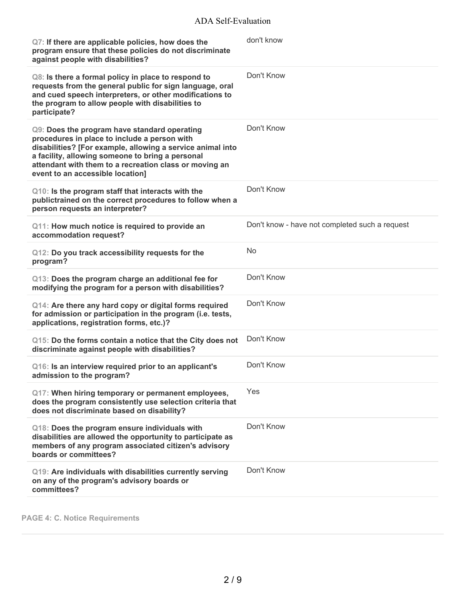| Q7: If there are applicable policies, how does the<br>program ensure that these policies do not discriminate<br>against people with disabilities?                                                                                                                                                            | don't know                                     |
|--------------------------------------------------------------------------------------------------------------------------------------------------------------------------------------------------------------------------------------------------------------------------------------------------------------|------------------------------------------------|
| Q8: Is there a formal policy in place to respond to<br>requests from the general public for sign language, oral<br>and cued speech interpreters, or other modifications to<br>the program to allow people with disabilities to<br>participate?                                                               | Don't Know                                     |
| Q9: Does the program have standard operating<br>procedures in place to include a person with<br>disabilities? [For example, allowing a service animal into<br>a facility, allowing someone to bring a personal<br>attendant with them to a recreation class or moving an<br>event to an accessible location] | Don't Know                                     |
| Q10: Is the program staff that interacts with the<br>publictrained on the correct procedures to follow when a<br>person requests an interpreter?                                                                                                                                                             | Don't Know                                     |
| Q11: How much notice is required to provide an<br>accommodation request?                                                                                                                                                                                                                                     | Don't know - have not completed such a request |
| Q12: Do you track accessibility requests for the<br>program?                                                                                                                                                                                                                                                 | No                                             |
| Q13: Does the program charge an additional fee for<br>modifying the program for a person with disabilities?                                                                                                                                                                                                  | Don't Know                                     |
| Q14: Are there any hard copy or digital forms required<br>for admission or participation in the program (i.e. tests,<br>applications, registration forms, etc.)?                                                                                                                                             | Don't Know                                     |
| Q15: Do the forms contain a notice that the City does not<br>discriminate against people with disabilities?                                                                                                                                                                                                  | Don't Know                                     |
| Q16: Is an interview required prior to an applicant's<br>admission to the program?                                                                                                                                                                                                                           | Don't Know                                     |
| Q17: When hiring temporary or permanent employees,<br>does the program consistently use selection criteria that<br>does not discriminate based on disability?                                                                                                                                                | Yes                                            |
| Q18: Does the program ensure individuals with<br>disabilities are allowed the opportunity to participate as<br>members of any program associated citizen's advisory<br>boards or committees?                                                                                                                 | Don't Know                                     |
| Q19: Are individuals with disabilities currently serving<br>on any of the program's advisory boards or<br>committees?                                                                                                                                                                                        | Don't Know                                     |

**PAGE 4: C. Notice Requirements**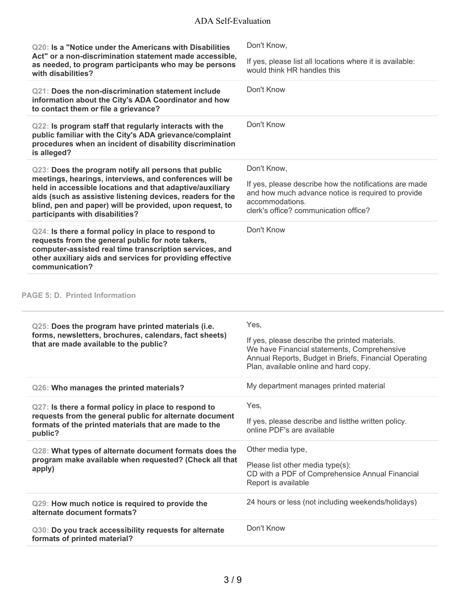| Q20: Is a "Notice under the Americans with Disabilities<br>Act" or a non-discrimination statement made accessible,<br>as needed, to program participants who may be persons<br>with disabilities?                                                                                                                                        | Don't Know,                                                                                                                                                                                             |
|------------------------------------------------------------------------------------------------------------------------------------------------------------------------------------------------------------------------------------------------------------------------------------------------------------------------------------------|---------------------------------------------------------------------------------------------------------------------------------------------------------------------------------------------------------|
|                                                                                                                                                                                                                                                                                                                                          | If yes, please list all locations where it is available:<br>would think HR handles this                                                                                                                 |
| Q21: Does the non-discrimination statement include<br>information about the City's ADA Coordinator and how<br>to contact them or file a grievance?                                                                                                                                                                                       | Don't Know                                                                                                                                                                                              |
| Q22: Is program staff that regularly interacts with the<br>public familiar with the City's ADA grievance/complaint<br>procedures when an incident of disability discrimination<br>is alleged?                                                                                                                                            | Don't Know                                                                                                                                                                                              |
| Q23: Does the program notify all persons that public<br>meetings, hearings, interviews, and conferences will be<br>held in accessible locations and that adaptive/auxiliary<br>aids (such as assistive listening devices, readers for the<br>blind, pen and paper) will be provided, upon request, to<br>participants with disabilities? | Don't Know,<br>If yes, please describe how the notifications are made<br>and how much advance notice is required to provide<br>accommodations.<br>clerk's office? communication office?                 |
| Q24: Is there a formal policy in place to respond to<br>requests from the general public for note takers,<br>computer-assisted real time transcription services, and<br>other auxiliary aids and services for providing effective<br>communication?                                                                                      | Don't Know                                                                                                                                                                                              |
| <b>PAGE 5: D. Printed Information</b>                                                                                                                                                                                                                                                                                                    |                                                                                                                                                                                                         |
| Q25: Does the program have printed materials (i.e.<br>forms, newsletters, brochures, calendars, fact sheets)<br>that are made available to the public?                                                                                                                                                                                   | Yes,<br>If yes, please describe the printed materials.<br>We have Financial statements, Comprehensive<br>Annual Reports, Budget in Briefs, Financial Operating<br>Plan, available online and hard copy. |
| Q26: Who manages the printed materials?                                                                                                                                                                                                                                                                                                  | My department manages printed material                                                                                                                                                                  |
| Q27: Is there a formal policy in place to respond to<br>requests from the general public for alternate document<br>formats of the printed materials that are made to the<br>public?                                                                                                                                                      | Yes,<br>If yes, please describe and listthe written policy.<br>online PDF's are available                                                                                                               |
| Q28: What types of alternate document formats does the<br>program make available when requested? (Check all that<br>apply)                                                                                                                                                                                                               | Other media type,<br>Please list other media type(s):<br>CD with a PDF of Comprehensice Annual Financial<br>Report is available                                                                         |
| Q29: How much notice is required to provide the<br>alternate document formats?                                                                                                                                                                                                                                                           | 24 hours or less (not including weekends/holidays)                                                                                                                                                      |
|                                                                                                                                                                                                                                                                                                                                          |                                                                                                                                                                                                         |

 $\mathcal{L}$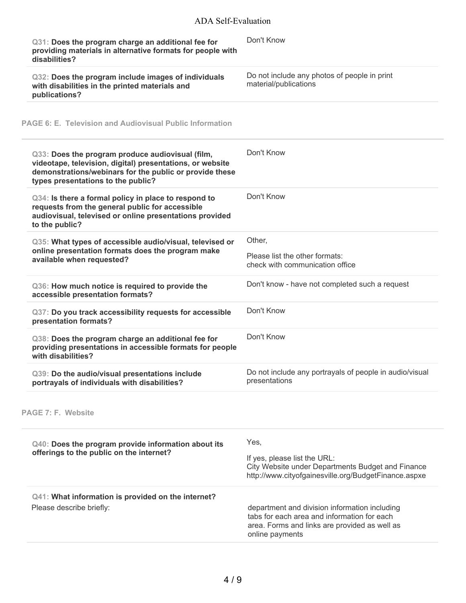| Q31: Does the program charge an additional fee for<br>providing materials in alternative formats for people with<br>disabilities?                                                                              | Don't Know                                                                                                                                                       |
|----------------------------------------------------------------------------------------------------------------------------------------------------------------------------------------------------------------|------------------------------------------------------------------------------------------------------------------------------------------------------------------|
| Q32: Does the program include images of individuals<br>with disabilities in the printed materials and<br>publications?                                                                                         | Do not include any photos of people in print<br>material/publications                                                                                            |
| PAGE 6: E. Television and Audiovisual Public Information                                                                                                                                                       |                                                                                                                                                                  |
| Q33: Does the program produce audiovisual (film,<br>videotape, television, digital) presentations, or website<br>demonstrations/webinars for the public or provide these<br>types presentations to the public? | Don't Know                                                                                                                                                       |
| Q34: Is there a formal policy in place to respond to<br>requests from the general public for accessible<br>audiovisual, televised or online presentations provided<br>to the public?                           | Don't Know                                                                                                                                                       |
| Q35: What types of accessible audio/visual, televised or<br>online presentation formats does the program make<br>available when requested?                                                                     | Other,<br>Please list the other formats:<br>check with communication office                                                                                      |
| Q36: How much notice is required to provide the<br>accessible presentation formats?                                                                                                                            | Don't know - have not completed such a request                                                                                                                   |
| Q37: Do you track accessibility requests for accessible<br>presentation formats?                                                                                                                               | Don't Know                                                                                                                                                       |
| Q38: Does the program charge an additional fee for<br>providing presentations in accessible formats for people<br>with disabilities?                                                                           | Don't Know                                                                                                                                                       |
| Q39: Do the audio/visual presentations include<br>portrayals of individuals with disabilities?                                                                                                                 | Do not include any portrayals of people in audio/visual<br>presentations                                                                                         |
| <b>PAGE 7: F. Website</b>                                                                                                                                                                                      |                                                                                                                                                                  |
| Q40: Does the program provide information about its<br>offerings to the public on the internet?                                                                                                                | Yes,<br>If yes, please list the URL:<br>City Website under Departments Budget and Finance<br>http://www.cityofgainesville.org/BudgetFinance.aspxe                |
| Q41: What information is provided on the internet?<br>Please describe briefly:                                                                                                                                 | department and division information including<br>tabs for each area and information for each<br>area. Forms and links are provided as well as<br>online payments |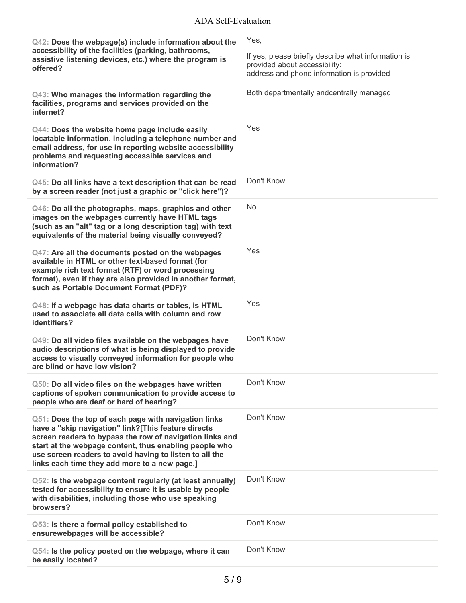| Q42: Does the webpage(s) include information about the<br>accessibility of the facilities (parking, bathrooms,<br>assistive listening devices, etc.) where the program is<br>offered?                                                                                                                                                         | Yes,<br>If yes, please briefly describe what information is<br>provided about accessibility:<br>address and phone information is provided |
|-----------------------------------------------------------------------------------------------------------------------------------------------------------------------------------------------------------------------------------------------------------------------------------------------------------------------------------------------|-------------------------------------------------------------------------------------------------------------------------------------------|
| Q43: Who manages the information regarding the<br>facilities, programs and services provided on the<br>internet?                                                                                                                                                                                                                              | Both departmentally andcentrally managed                                                                                                  |
| Q44: Does the website home page include easily<br>locatable information, including a telephone number and<br>email address, for use in reporting website accessibility<br>problems and requesting accessible services and<br>information?                                                                                                     | Yes                                                                                                                                       |
| Q45: Do all links have a text description that can be read<br>by a screen reader (not just a graphic or "click here")?                                                                                                                                                                                                                        | Don't Know                                                                                                                                |
| Q46: Do all the photographs, maps, graphics and other<br>images on the webpages currently have HTML tags<br>(such as an "alt" tag or a long description tag) with text<br>equivalents of the material being visually conveyed?                                                                                                                | <b>No</b>                                                                                                                                 |
| Q47: Are all the documents posted on the webpages<br>available in HTML or other text-based format (for<br>example rich text format (RTF) or word processing<br>format), even if they are also provided in another format,<br>such as Portable Document Format (PDF)?                                                                          | Yes                                                                                                                                       |
| Q48: If a webpage has data charts or tables, is HTML<br>used to associate all data cells with column and row<br>identifiers?                                                                                                                                                                                                                  | Yes                                                                                                                                       |
| Q49: Do all video files available on the webpages have<br>audio descriptions of what is being displayed to provide<br>access to visually conveyed information for people who<br>are blind or have low vision?                                                                                                                                 | Don't Know                                                                                                                                |
| Q50: Do all video files on the webpages have written<br>captions of spoken communication to provide access to<br>people who are deaf or hard of hearing?                                                                                                                                                                                      | Don't Know                                                                                                                                |
| Q51: Does the top of each page with navigation links<br>have a "skip navigation" link?[This feature directs<br>screen readers to bypass the row of navigation links and<br>start at the webpage content, thus enabling people who<br>use screen readers to avoid having to listen to all the<br>links each time they add more to a new page.] | Don't Know                                                                                                                                |
| Q52: Is the webpage content regularly (at least annually)<br>tested for accessibility to ensure it is usable by people<br>with disabilities, including those who use speaking<br>browsers?                                                                                                                                                    | Don't Know                                                                                                                                |
| Q53: Is there a formal policy established to<br>ensurewebpages will be accessible?                                                                                                                                                                                                                                                            | Don't Know                                                                                                                                |
| Q54: Is the policy posted on the webpage, where it can<br>be easily located?                                                                                                                                                                                                                                                                  | Don't Know                                                                                                                                |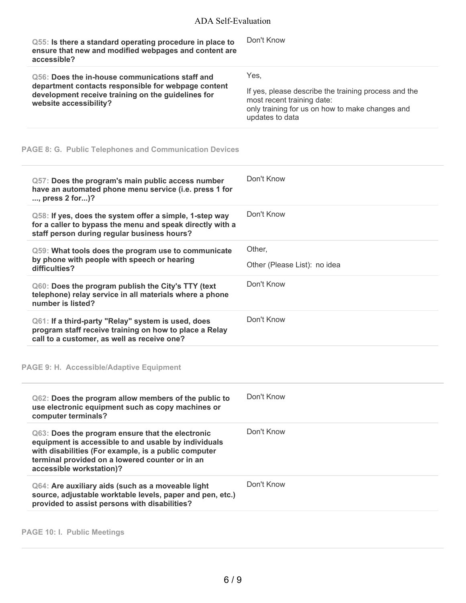| Q55: Is there a standard operating procedure in place to<br>ensure that new and modified webpages and content are<br>accessible?                                                       | Don't Know                                                                                                                                                       |
|----------------------------------------------------------------------------------------------------------------------------------------------------------------------------------------|------------------------------------------------------------------------------------------------------------------------------------------------------------------|
| Q56: Does the in-house communications staff and<br>department contacts responsible for webpage content<br>development receive training on the guidelines for<br>website accessibility? | Yes.<br>If yes, please describe the training process and the<br>most recent training date:<br>only training for us on how to make changes and<br>updates to data |

## **PAGE 8: G. Public Telephones and Communication Devices**

| Q57: Does the program's main public access number<br>have an automated phone menu service (i.e. press 1 for<br>, press 2 for)?                                                                                                                  | Don't Know                             |
|-------------------------------------------------------------------------------------------------------------------------------------------------------------------------------------------------------------------------------------------------|----------------------------------------|
| Q58: If yes, does the system offer a simple, 1-step way<br>for a caller to bypass the menu and speak directly with a<br>staff person during regular business hours?                                                                             | Don't Know                             |
| Q59: What tools does the program use to communicate<br>by phone with people with speech or hearing<br>difficulties?                                                                                                                             | Other,<br>Other (Please List): no idea |
| Q60: Does the program publish the City's TTY (text<br>telephone) relay service in all materials where a phone<br>number is listed?                                                                                                              | Don't Know                             |
| Q61: If a third-party "Relay" system is used, does<br>program staff receive training on how to place a Relay<br>call to a customer, as well as receive one?                                                                                     | Don't Know                             |
| <b>PAGE 9: H. Accessible/Adaptive Equipment</b>                                                                                                                                                                                                 |                                        |
| Q62: Does the program allow members of the public to<br>use electronic equipment such as copy machines or<br>computer terminals?                                                                                                                | Don't Know                             |
| Q63: Does the program ensure that the electronic<br>equipment is accessible to and usable by individuals<br>with disabilities (For example, is a public computer<br>terminal provided on a lowered counter or in an<br>accessible workstation)? | Don't Know                             |
| Q64: Are auxiliary aids (such as a moveable light<br>source, adjustable worktable levels, paper and pen, etc.)<br>provided to assist persons with disabilities?                                                                                 | Don't Know                             |
|                                                                                                                                                                                                                                                 |                                        |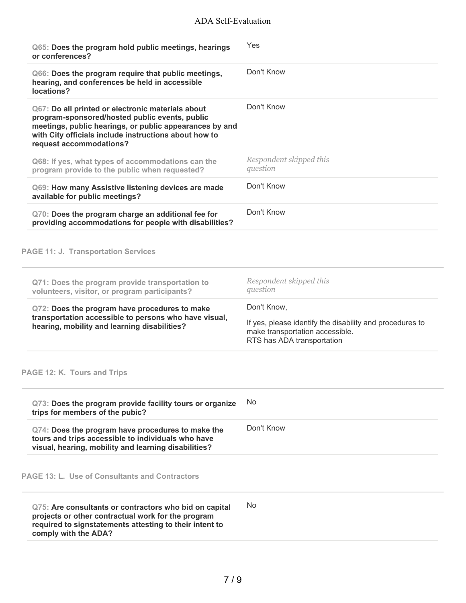| Q65: Does the program hold public meetings, hearings<br>or conferences?                                                                                                                                                                            | Yes                                                                                                                                      |
|----------------------------------------------------------------------------------------------------------------------------------------------------------------------------------------------------------------------------------------------------|------------------------------------------------------------------------------------------------------------------------------------------|
| Q66: Does the program require that public meetings,<br>hearing, and conferences be held in accessible<br>locations?                                                                                                                                | Don't Know                                                                                                                               |
| Q67: Do all printed or electronic materials about<br>program-sponsored/hosted public events, public<br>meetings, public hearings, or public appearances by and<br>with City officials include instructions about how to<br>request accommodations? | Don't Know                                                                                                                               |
| Q68: If yes, what types of accommodations can the<br>program provide to the public when requested?                                                                                                                                                 | Respondent skipped this<br>question                                                                                                      |
| Q69: How many Assistive listening devices are made<br>available for public meetings?                                                                                                                                                               | Don't Know                                                                                                                               |
| Q70: Does the program charge an additional fee for<br>providing accommodations for people with disabilities?                                                                                                                                       | Don't Know                                                                                                                               |
| <b>PAGE 11: J. Transportation Services</b>                                                                                                                                                                                                         |                                                                                                                                          |
| Q71: Does the program provide transportation to<br>volunteers, visitor, or program participants?                                                                                                                                                   | Respondent skipped this<br>question                                                                                                      |
| Q72: Does the program have procedures to make<br>transportation accessible to persons who have visual,<br>hearing, mobility and learning disabilities?                                                                                             | Don't Know,<br>If yes, please identify the disability and procedures to<br>make transportation accessible.<br>RTS has ADA transportation |
| PAGE 12: K. Tours and Trips                                                                                                                                                                                                                        |                                                                                                                                          |
| Q73: Does the program provide facility tours or organize<br>trips for members of the pubic?                                                                                                                                                        | No                                                                                                                                       |
| Q74: Does the program have procedures to make the<br>tours and trips accessible to individuals who have<br>visual, hearing, mobility and learning disabilities?                                                                                    | Don't Know                                                                                                                               |
| <b>PAGE 13: L. Use of Consultants and Contractors</b>                                                                                                                                                                                              |                                                                                                                                          |
| Q75: Are consultants or contractors who bid on capital<br>projects or other contractual work for the program<br>required to signstatements attesting to their intent to<br>comply with the ADA?                                                    | No.                                                                                                                                      |
|                                                                                                                                                                                                                                                    |                                                                                                                                          |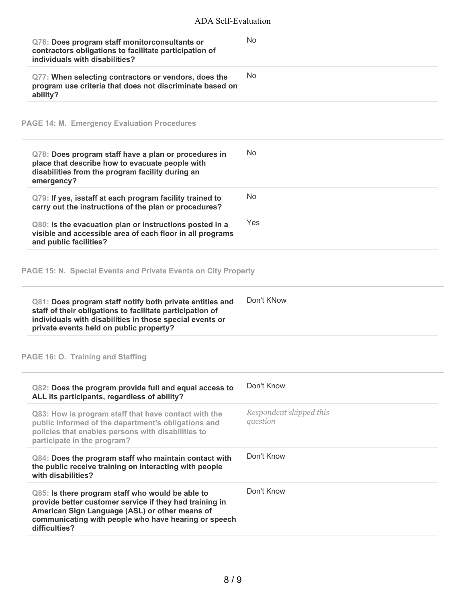| Q76: Does program staff monitorconsultants or<br>contractors obligations to facilitate participation of<br>individuals with disabilities?                                                                                              | <b>No</b>                           |
|----------------------------------------------------------------------------------------------------------------------------------------------------------------------------------------------------------------------------------------|-------------------------------------|
| Q77: When selecting contractors or vendors, does the<br>program use criteria that does not discriminate based on<br>ability?                                                                                                           | <b>No</b>                           |
| <b>PAGE 14: M. Emergency Evaluation Procedures</b>                                                                                                                                                                                     |                                     |
| Q78: Does program staff have a plan or procedures in<br>place that describe how to evacuate people with<br>disabilities from the program facility during an<br>emergency?                                                              | <b>No</b>                           |
| Q79: If yes, isstaff at each program facility trained to<br>carry out the instructions of the plan or procedures?                                                                                                                      | <b>No</b>                           |
| Q80: Is the evacuation plan or instructions posted in a<br>visible and accessible area of each floor in all programs<br>and public facilities?                                                                                         | Yes                                 |
| PAGE 15: N. Special Events and Private Events on City Property                                                                                                                                                                         |                                     |
| Q81: Does program staff notify both private entities and<br>staff of their obligations to facilitate participation of<br>individuals with disabilities in those special events or<br>private events held on public property?           | Don't KNow                          |
| PAGE 16: O. Training and Staffing                                                                                                                                                                                                      |                                     |
| Q82: Does the program provide full and equal access to<br>ALL its participants, regardless of ability?                                                                                                                                 | Don't Know                          |
| Q83: How is program staff that have contact with the<br>public informed of the department's obligations and<br>policies that enables persons with disabilities to<br>participate in the program?                                       | Respondent skipped this<br>question |
| Q84: Does the program staff who maintain contact with<br>the public receive training on interacting with people<br>with disabilities?                                                                                                  | Don't Know                          |
| Q85: Is there program staff who would be able to<br>provide better customer service if they had training in<br>American Sign Language (ASL) or other means of<br>communicating with people who have hearing or speech<br>difficulties? | Don't Know                          |